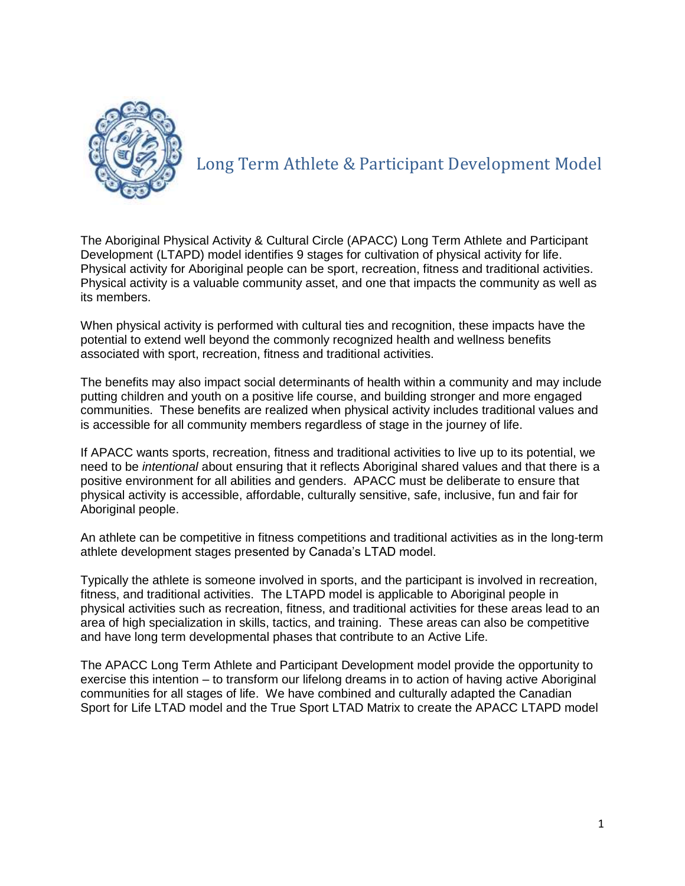

# Long Term Athlete & Participant Development Model

The Aboriginal Physical Activity & Cultural Circle (APACC) Long Term Athlete and Participant Development (LTAPD) model identifies 9 stages for cultivation of physical activity for life. Physical activity for Aboriginal people can be sport, recreation, fitness and traditional activities. Physical activity is a valuable community asset, and one that impacts the community as well as its members.

When physical activity is performed with cultural ties and recognition, these impacts have the potential to extend well beyond the commonly recognized health and wellness benefits associated with sport, recreation, fitness and traditional activities.

The benefits may also impact social determinants of health within a community and may include putting children and youth on a positive life course, and building stronger and more engaged communities. These benefits are realized when physical activity includes traditional values and is accessible for all community members regardless of stage in the journey of life.

If APACC wants sports, recreation, fitness and traditional activities to live up to its potential, we need to be *intentional* about ensuring that it reflects Aboriginal shared values and that there is a positive environment for all abilities and genders. APACC must be deliberate to ensure that physical activity is accessible, affordable, culturally sensitive, safe, inclusive, fun and fair for Aboriginal people.

An athlete can be competitive in fitness competitions and traditional activities as in the long-term athlete development stages presented by Canada's LTAD model.

Typically the athlete is someone involved in sports, and the participant is involved in recreation, fitness, and traditional activities. The LTAPD model is applicable to Aboriginal people in physical activities such as recreation, fitness, and traditional activities for these areas lead to an area of high specialization in skills, tactics, and training. These areas can also be competitive and have long term developmental phases that contribute to an Active Life.

The APACC Long Term Athlete and Participant Development model provide the opportunity to exercise this intention – to transform our lifelong dreams in to action of having active Aboriginal communities for all stages of life. We have combined and culturally adapted the Canadian Sport for Life LTAD model and the True Sport LTAD Matrix to create the APACC LTAPD model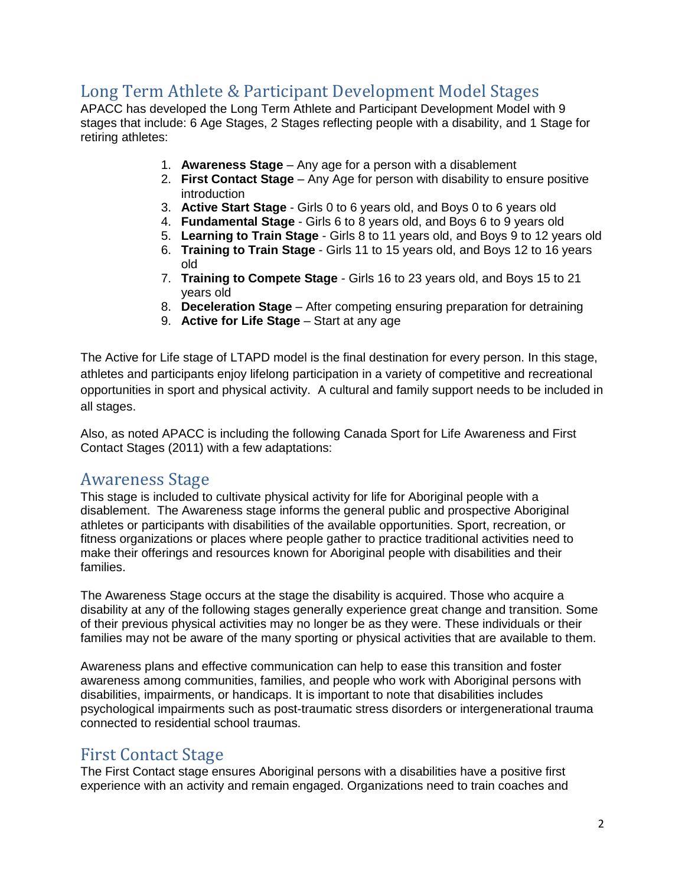# Long Term Athlete & Participant Development Model Stages

APACC has developed the Long Term Athlete and Participant Development Model with 9 stages that include: 6 Age Stages, 2 Stages reflecting people with a disability, and 1 Stage for retiring athletes:

- 1. **Awareness Stage** Any age for a person with a disablement
- 2. **First Contact Stage** Any Age for person with disability to ensure positive introduction
- 3. **Active Start Stage** Girls 0 to 6 years old, and Boys 0 to 6 years old
- 4. **Fundamental Stage**  Girls 6 to 8 years old, and Boys 6 to 9 years old
- 5. **Learning to Train Stage** Girls 8 to 11 years old, and Boys 9 to 12 years old
- 6. **Training to Train Stage**  Girls 11 to 15 years old, and Boys 12 to 16 years old
- 7. **Training to Compete Stage**  Girls 16 to 23 years old, and Boys 15 to 21 years old
- 8. **Deceleration Stage** After competing ensuring preparation for detraining
- 9. **Active for Life Stage** Start at any age

The Active for Life stage of LTAPD model is the final destination for every person. In this stage, athletes and participants enjoy lifelong participation in a variety of competitive and recreational opportunities in sport and physical activity. A cultural and family support needs to be included in all stages.

Also, as noted APACC is including the following Canada Sport for Life Awareness and First Contact Stages (2011) with a few adaptations:

#### Awareness Stage

This stage is included to cultivate physical activity for life for Aboriginal people with a disablement. The Awareness stage informs the general public and prospective Aboriginal athletes or participants with disabilities of the available opportunities. Sport, recreation, or fitness organizations or places where people gather to practice traditional activities need to make their offerings and resources known for Aboriginal people with disabilities and their families.

The Awareness Stage occurs at the stage the disability is acquired. Those who acquire a disability at any of the following stages generally experience great change and transition. Some of their previous physical activities may no longer be as they were. These individuals or their families may not be aware of the many sporting or physical activities that are available to them.

Awareness plans and effective communication can help to ease this transition and foster awareness among communities, families, and people who work with Aboriginal persons with disabilities, impairments, or handicaps. It is important to note that disabilities includes psychological impairments such as post-traumatic stress disorders or intergenerational trauma connected to residential school traumas.

### First Contact Stage

The First Contact stage ensures Aboriginal persons with a disabilities have a positive first experience with an activity and remain engaged. Organizations need to train coaches and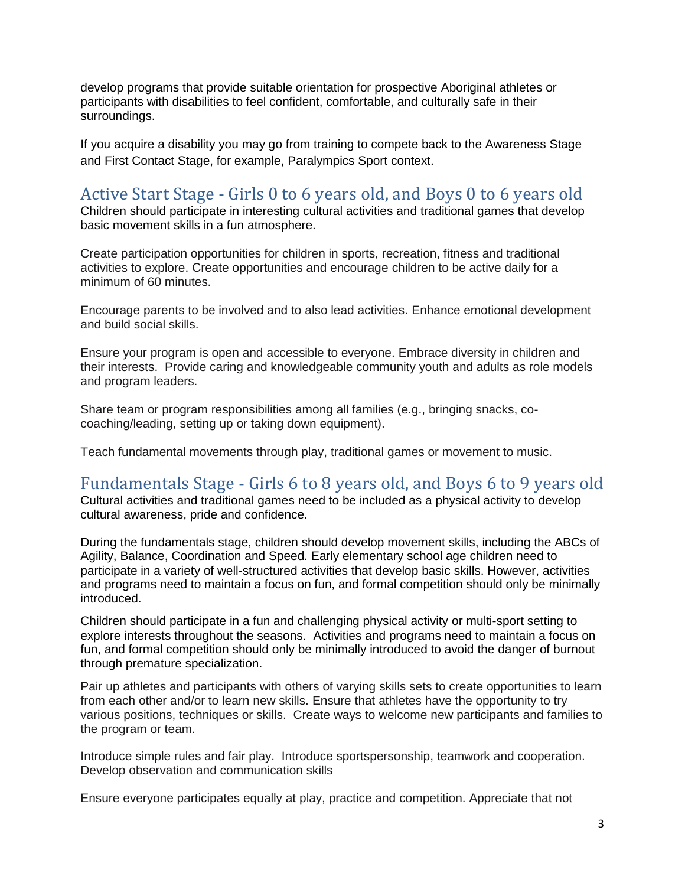develop programs that provide suitable orientation for prospective Aboriginal athletes or participants with disabilities to feel confident, comfortable, and culturally safe in their surroundings.

If you acquire a disability you may go from training to compete back to the Awareness Stage and First Contact Stage, for example, Paralympics Sport context.

# Active Start Stage - Girls 0 to 6 years old, and Boys 0 to 6 years old

Children should participate in interesting cultural activities and traditional games that develop basic movement skills in a fun atmosphere.

Create participation opportunities for children in sports, recreation, fitness and traditional activities to explore. Create opportunities and encourage children to be active daily for a minimum of 60 minutes.

Encourage parents to be involved and to also lead activities. Enhance emotional development and build social skills.

Ensure your program is open and accessible to everyone. Embrace diversity in children and their interests. Provide caring and knowledgeable community youth and adults as role models and program leaders.

Share team or program responsibilities among all families (e.g., bringing snacks, cocoaching/leading, setting up or taking down equipment).

Teach fundamental movements through play, traditional games or movement to music.

### Fundamentals Stage - Girls 6 to 8 years old, and Boys 6 to 9 years old

Cultural activities and traditional games need to be included as a physical activity to develop cultural awareness, pride and confidence.

During the fundamentals stage, children should develop movement skills, including the ABCs of Agility, Balance, Coordination and Speed. Early elementary school age children need to participate in a variety of well-structured activities that develop basic skills. However, activities and programs need to maintain a focus on fun, and formal competition should only be minimally introduced.

Children should participate in a fun and challenging physical activity or multi-sport setting to explore interests throughout the seasons. Activities and programs need to maintain a focus on fun, and formal competition should only be minimally introduced to avoid the danger of burnout through premature specialization.

Pair up athletes and participants with others of varying skills sets to create opportunities to learn from each other and/or to learn new skills. Ensure that athletes have the opportunity to try various positions, techniques or skills. Create ways to welcome new participants and families to the program or team.

Introduce simple rules and fair play. Introduce sportspersonship, teamwork and cooperation. Develop observation and communication skills

Ensure everyone participates equally at play, practice and competition. Appreciate that not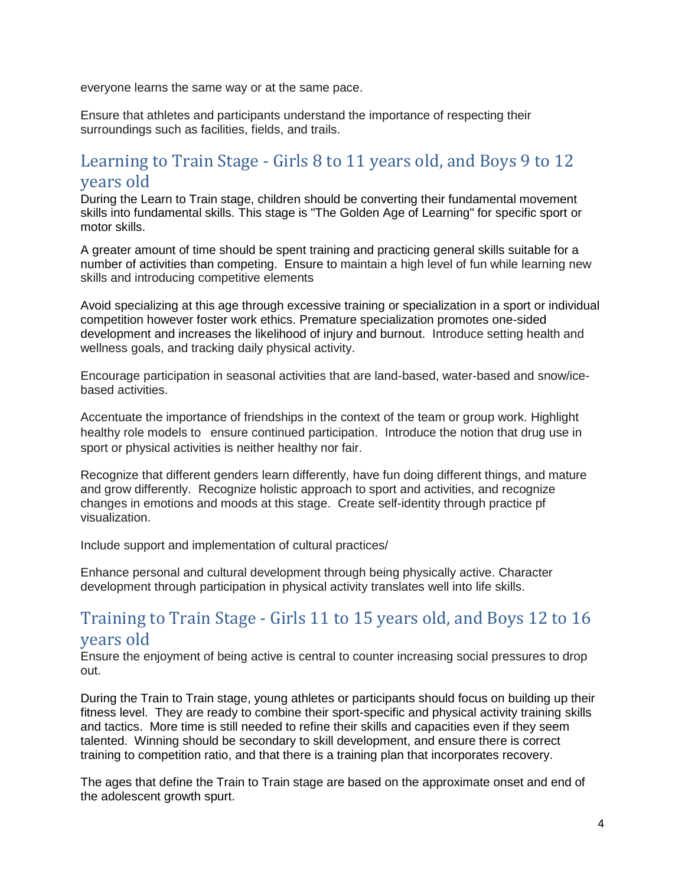everyone learns the same way or at the same pace.

Ensure that athletes and participants understand the importance of respecting their surroundings such as facilities, fields, and trails.

# Learning to Train Stage - Girls 8 to 11 years old, and Boys 9 to 12 years old

During the Learn to Train stage, children should be converting their fundamental movement skills into fundamental skills. This stage is "The Golden Age of Learning" for specific sport or motor skills.

A greater amount of time should be spent training and practicing general skills suitable for a number of activities than competing. Ensure to maintain a high level of fun while learning new skills and introducing competitive elements

Avoid specializing at this age through excessive training or specialization in a sport or individual competition however foster work ethics. Premature specialization promotes one-sided development and increases the likelihood of injury and burnout. Introduce setting health and wellness goals, and tracking daily physical activity.

Encourage participation in seasonal activities that are land-based, water-based and snow/icebased activities.

Accentuate the importance of friendships in the context of the team or group work. Highlight healthy role models to ensure continued participation. Introduce the notion that drug use in sport or physical activities is neither healthy nor fair.

Recognize that different genders learn differently, have fun doing different things, and mature and grow differently. Recognize holistic approach to sport and activities, and recognize changes in emotions and moods at this stage. Create self-identity through practice pf visualization.

Include support and implementation of cultural practices/

Enhance personal and cultural development through being physically active. Character development through participation in physical activity translates well into life skills.

## Training to Train Stage - Girls 11 to 15 years old, and Boys 12 to 16 years old

Ensure the enjoyment of being active is central to counter increasing social pressures to drop out.

During the Train to Train stage, young athletes or participants should focus on building up their fitness level. They are ready to combine their sport-specific and physical activity training skills and tactics. More time is still needed to refine their skills and capacities even if they seem talented. Winning should be secondary to skill development, and ensure there is correct training to competition ratio, and that there is a training plan that incorporates recovery.

The ages that define the Train to Train stage are based on the approximate onset and end of the adolescent growth spurt.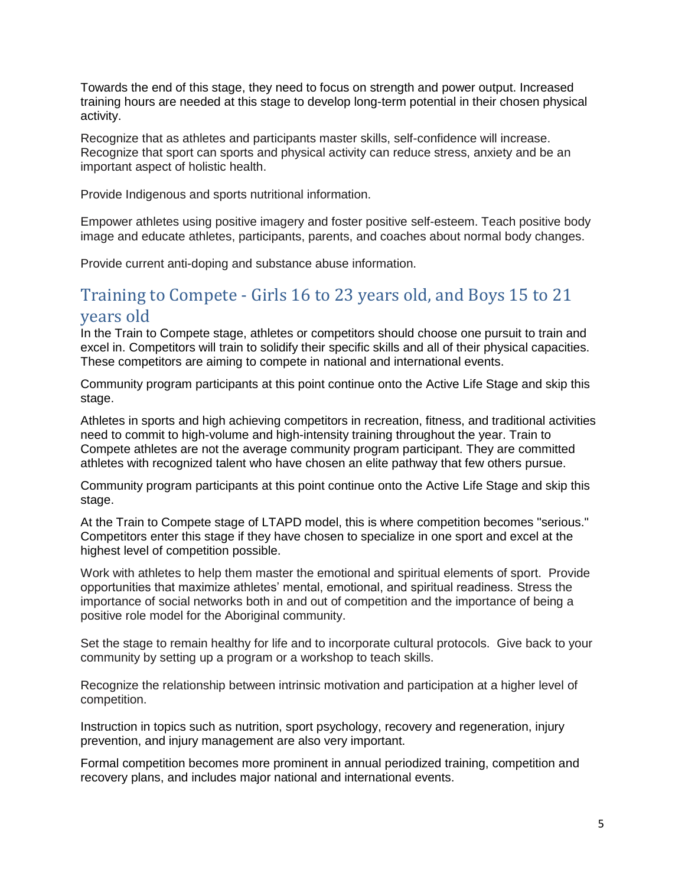Towards the end of this stage, they need to focus on strength and power output. Increased training hours are needed at this stage to develop long-term potential in their chosen physical activity.

Recognize that as athletes and participants master skills, self-confidence will increase. Recognize that sport can sports and physical activity can reduce stress, anxiety and be an important aspect of holistic health.

Provide Indigenous and sports nutritional information.

Empower athletes using positive imagery and foster positive self-esteem. Teach positive body image and educate athletes, participants, parents, and coaches about normal body changes.

Provide current anti-doping and substance abuse information.

# Training to Compete - Girls 16 to 23 years old, and Boys 15 to 21 years old

In the Train to Compete stage, athletes or competitors should choose one pursuit to train and excel in. Competitors will train to solidify their specific skills and all of their physical capacities. These competitors are aiming to compete in national and international events.

Community program participants at this point continue onto the Active Life Stage and skip this stage.

Athletes in sports and high achieving competitors in recreation, fitness, and traditional activities need to commit to high-volume and high-intensity training throughout the year. Train to Compete athletes are not the average community program participant. They are committed athletes with recognized talent who have chosen an elite pathway that few others pursue.

Community program participants at this point continue onto the Active Life Stage and skip this stage.

At the Train to Compete stage of LTAPD model, this is where competition becomes "serious." Competitors enter this stage if they have chosen to specialize in one sport and excel at the highest level of competition possible.

Work with athletes to help them master the emotional and spiritual elements of sport. Provide opportunities that maximize athletes' mental, emotional, and spiritual readiness. Stress the importance of social networks both in and out of competition and the importance of being a positive role model for the Aboriginal community.

Set the stage to remain healthy for life and to incorporate cultural protocols. Give back to your community by setting up a program or a workshop to teach skills.

Recognize the relationship between intrinsic motivation and participation at a higher level of competition.

Instruction in topics such as nutrition, sport psychology, recovery and regeneration, injury prevention, and injury management are also very important.

Formal competition becomes more prominent in annual periodized training, competition and recovery plans, and includes major national and international events.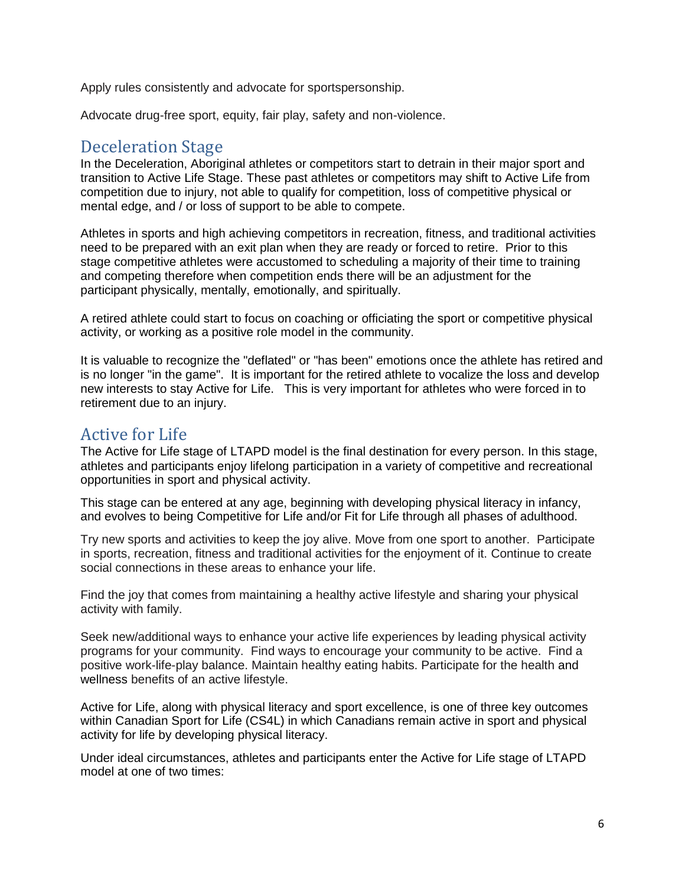Apply rules consistently and advocate for sportspersonship.

Advocate drug-free sport, equity, fair play, safety and non-violence.

#### Deceleration Stage

In the Deceleration, Aboriginal athletes or competitors start to detrain in their major sport and transition to Active Life Stage. These past athletes or competitors may shift to Active Life from competition due to injury, not able to qualify for competition, loss of competitive physical or mental edge, and / or loss of support to be able to compete.

Athletes in sports and high achieving competitors in recreation, fitness, and traditional activities need to be prepared with an exit plan when they are ready or forced to retire. Prior to this stage competitive athletes were accustomed to scheduling a majority of their time to training and competing therefore when competition ends there will be an adjustment for the participant physically, mentally, emotionally, and spiritually.

A retired athlete could start to focus on coaching or officiating the sport or competitive physical activity, or working as a positive role model in the community.

It is valuable to recognize the "deflated" or "has been" emotions once the athlete has retired and is no longer "in the game". It is important for the retired athlete to vocalize the loss and develop new interests to stay Active for Life. This is very important for athletes who were forced in to retirement due to an injury.

# Active for Life

The Active for Life stage of LTAPD model is the final destination for every person. In this stage, athletes and participants enjoy lifelong participation in a variety of competitive and recreational opportunities in sport and physical activity.

This stage can be entered at any age, beginning with developing physical literacy in infancy, and evolves to being Competitive for Life and/or Fit for Life through all phases of adulthood.

Try new sports and activities to keep the joy alive. Move from one sport to another. Participate in sports, recreation, fitness and traditional activities for the enjoyment of it. Continue to create social connections in these areas to enhance your life.

Find the joy that comes from maintaining a healthy active lifestyle and sharing your physical activity with family.

Seek new/additional ways to enhance your active life experiences by leading physical activity programs for your community. Find ways to encourage your community to be active. Find a positive work-life-play balance. Maintain healthy eating habits. Participate for the health and wellness benefits of an active lifestyle.

Active for Life, along with physical literacy and sport excellence, is one of three key outcomes within Canadian Sport for Life (CS4L) in which Canadians remain active in sport and physical activity for life by developing physical literacy.

Under ideal circumstances, athletes and participants enter the Active for Life stage of LTAPD model at one of two times: